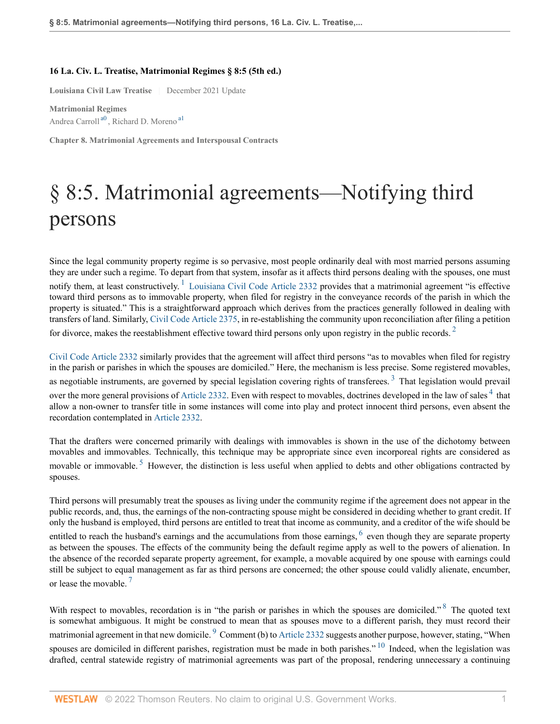## **16 La. Civ. L. Treatise, Matrimonial Regimes § 8:5 (5th ed.)**

**Louisiana Civil Law Treatise** | December 2021 Update

<span id="page-0-1"></span><span id="page-0-0"></span>**Matrimonial Regimes** Andrea Carroll<sup>[a0](#page-2-0)</sup>, Richard D. Moreno<sup>[a1](#page-2-1)</sup>

**Chapter 8. Matrimonial Agreements and Interspousal Contracts**

## § 8:5. Matrimonial agreements—Notifying third persons

<span id="page-0-2"></span>Since the legal community property regime is so pervasive, most people ordinarily deal with most married persons assuming they are under such a regime. To depart from that system, insofar as it affects third persons dealing with the spouses, one must notify them, at least constructively.  $\frac{1}{1}$  $\frac{1}{1}$  $\frac{1}{1}$  [Louisiana Civil Code Article 2332](http://www.westlaw.com/Link/Document/FullText?findType=L&pubNum=1000012&cite=LACIART2332&originatingDoc=I8c921076459411daa5cf8cb133fe54f9&refType=LQ&originationContext=document&vr=3.0&rs=cblt1.0&transitionType=DocumentItem&contextData=(sc.Search)) provides that a matrimonial agreement "is effective toward third persons as to immovable property, when filed for registry in the conveyance records of the parish in which the property is situated." This is a straightforward approach which derives from the practices generally followed in dealing with transfers of land. Similarly, [Civil Code Article 2375,](http://www.westlaw.com/Link/Document/FullText?findType=L&pubNum=1000012&cite=LACIART2375&originatingDoc=I8c921076459411daa5cf8cb133fe54f9&refType=LQ&originationContext=document&vr=3.0&rs=cblt1.0&transitionType=DocumentItem&contextData=(sc.Search)) in re-establishing the community upon reconciliation after filing a petition for divorce, makes the reestablishment effective toward third persons only upon registry in the public records.  $2$ 

<span id="page-0-5"></span><span id="page-0-4"></span><span id="page-0-3"></span>[Civil Code Article 2332](http://www.westlaw.com/Link/Document/FullText?findType=L&pubNum=1000012&cite=LACIART2332&originatingDoc=I8c921076459411daa5cf8cb133fe54f9&refType=LQ&originationContext=document&vr=3.0&rs=cblt1.0&transitionType=DocumentItem&contextData=(sc.Search)) similarly provides that the agreement will affect third persons "as to movables when filed for registry in the parish or parishes in which the spouses are domiciled." Here, the mechanism is less precise. Some registered movables, as negotiable instruments, are governed by special legislation covering rights of transferees.<sup>[3](#page-2-4)</sup> That legislation would prevail over the more general provisions of [Article 2332.](http://www.westlaw.com/Link/Document/FullText?findType=L&pubNum=1000012&cite=LACIART2332&originatingDoc=I8c921076459411daa5cf8cb133fe54f9&refType=LQ&originationContext=document&vr=3.0&rs=cblt1.0&transitionType=DocumentItem&contextData=(sc.Search)) Even with respect to movables, doctrines developed in the law of sales  $4$  that allow a non-owner to transfer title in some instances will come into play and protect innocent third persons, even absent the recordation contemplated in [Article 2332.](http://www.westlaw.com/Link/Document/FullText?findType=L&pubNum=1000012&cite=LACIART2332&originatingDoc=I8c921076459411daa5cf8cb133fe54f9&refType=LQ&originationContext=document&vr=3.0&rs=cblt1.0&transitionType=DocumentItem&contextData=(sc.Search))

<span id="page-0-6"></span>That the drafters were concerned primarily with dealings with immovables is shown in the use of the dichotomy between movables and immovables. Technically, this technique may be appropriate since even incorporeal rights are considered as movable or immovable.<sup>[5](#page-2-6)</sup> However, the distinction is less useful when applied to debts and other obligations contracted by spouses.

<span id="page-0-7"></span>Third persons will presumably treat the spouses as living under the community regime if the agreement does not appear in the public records, and, thus, the earnings of the non-contracting spouse might be considered in deciding whether to grant credit. If only the husband is employed, third persons are entitled to treat that income as community, and a creditor of the wife should be entitled to reach the husband's earnings and the accumulations from those earnings,  $<sup>6</sup>$  $<sup>6</sup>$  $<sup>6</sup>$  even though they are separate property</sup> as between the spouses. The effects of the community being the default regime apply as well to the powers of alienation. In the absence of the recorded separate property agreement, for example, a movable acquired by one spouse with earnings could still be subject to equal management as far as third persons are concerned; the other spouse could validly alienate, encumber, or lease the movable.<sup>[7](#page-2-8)</sup>

<span id="page-0-11"></span><span id="page-0-10"></span><span id="page-0-9"></span><span id="page-0-8"></span>With respect to movables, recordation is in "the parish or parishes in which the spouses are domiciled." <sup>[8](#page-2-9)</sup> The quoted text is somewhat ambiguous. It might be construed to mean that as spouses move to a different parish, they must record their matrimonial agreement in that new domicile. <sup>[9](#page-2-10)</sup> Comment (b) to [Article 2332](http://www.westlaw.com/Link/Document/FullText?findType=L&pubNum=1000012&cite=LACIART2332&originatingDoc=I8c921076459411daa5cf8cb133fe54f9&refType=LQ&originationContext=document&vr=3.0&rs=cblt1.0&transitionType=DocumentItem&contextData=(sc.Search)) suggests another purpose, however, stating, "When spouses are domiciled in different parishes, registration must be made in both parishes."  $10$  Indeed, when the legislation was drafted, central statewide registry of matrimonial agreements was part of the proposal, rendering unnecessary a continuing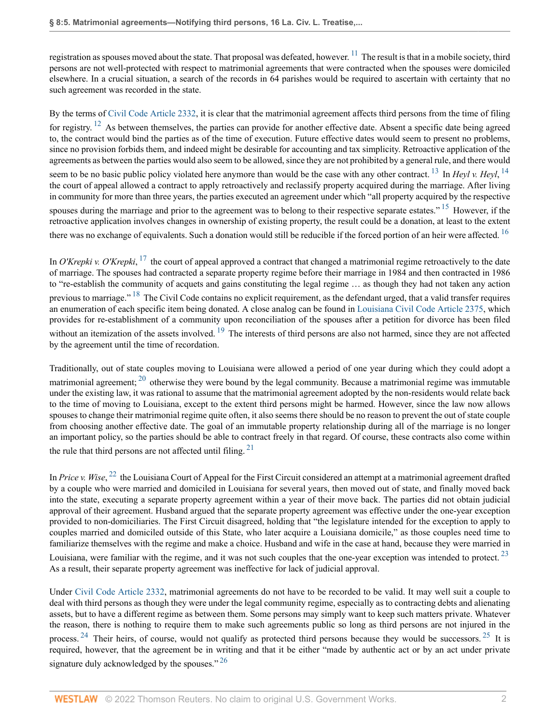<span id="page-1-0"></span>registration as spouses moved about the state. That proposal was defeated, however.  $^{11}$  $^{11}$  $^{11}$  The result is that in a mobile society, third persons are not well-protected with respect to matrimonial agreements that were contracted when the spouses were domiciled elsewhere. In a crucial situation, a search of the records in 64 parishes would be required to ascertain with certainty that no such agreement was recorded in the state.

<span id="page-1-1"></span>By the terms of [Civil Code Article 2332](http://www.westlaw.com/Link/Document/FullText?findType=L&pubNum=1000012&cite=LACIART2332&originatingDoc=I8c921076459411daa5cf8cb133fe54f9&refType=LQ&originationContext=document&vr=3.0&rs=cblt1.0&transitionType=DocumentItem&contextData=(sc.Search)), it is clear that the matrimonial agreement affects third persons from the time of filing for registry. <sup>[12](#page-2-13)</sup> As between themselves, the parties can provide for another effective date. Absent a specific date being agreed to, the contract would bind the parties as of the time of execution. Future effective dates would seem to present no problems, since no provision forbids them, and indeed might be desirable for accounting and tax simplicity. Retroactive application of the agreements as between the parties would also seem to be allowed, since they are not prohibited by a general rule, and there would

<span id="page-1-4"></span><span id="page-1-3"></span><span id="page-1-2"></span>seem to be no basic public policy violated here anymore than would be the case with any other contract. <sup>[13](#page-2-14)</sup> In *Heyl v. Heyl*, <sup>[14](#page-2-15)</sup> the court of appeal allowed a contract to apply retroactively and reclassify property acquired during the marriage. After living in community for more than three years, the parties executed an agreement under which "all property acquired by the respective spouses during the marriage and prior to the agreement was to belong to their respective separate estates."<sup>[15](#page-2-16)</sup> However, if the retroactive application involves changes in ownership of existing property, the result could be a donation, at least to the extent there was no exchange of equivalents. Such a donation would still be reducible if the forced portion of an heir were affected. <sup>[16](#page-2-17)</sup>

<span id="page-1-7"></span><span id="page-1-6"></span><span id="page-1-5"></span>In *O'Krepki v. O'Krepki*, <sup>[17](#page-2-18)</sup> the court of appeal approved a contract that changed a matrimonial regime retroactively to the date of marriage. The spouses had contracted a separate property regime before their marriage in 1984 and then contracted in 1986 to "re-establish the community of acquets and gains constituting the legal regime … as though they had not taken any action previous to marriage." <sup>[18](#page-3-0)</sup> The Civil Code contains no explicit requirement, as the defendant urged, that a valid transfer requires an enumeration of each specific item being donated. A close analog can be found in [Louisiana Civil Code Article 2375,](http://www.westlaw.com/Link/Document/FullText?findType=L&pubNum=1000012&cite=LACIART2375&originatingDoc=I8c921076459411daa5cf8cb133fe54f9&refType=LQ&originationContext=document&vr=3.0&rs=cblt1.0&transitionType=DocumentItem&contextData=(sc.Search)) which provides for re-establishment of a community upon reconciliation of the spouses after a petition for divorce has been filed without an itemization of the assets involved. <sup>[19](#page-3-1)</sup> The interests of third persons are also not harmed, since they are not affected by the agreement until the time of recordation.

<span id="page-1-9"></span><span id="page-1-8"></span>Traditionally, out of state couples moving to Louisiana were allowed a period of one year during which they could adopt a matrimonial agreement;  $^{20}$  $^{20}$  $^{20}$  otherwise they were bound by the legal community. Because a matrimonial regime was immutable under the existing law, it was rational to assume that the matrimonial agreement adopted by the non-residents would relate back to the time of moving to Louisiana, except to the extent third persons might be harmed. However, since the law now allows spouses to change their matrimonial regime quite often, it also seems there should be no reason to prevent the out of state couple from choosing another effective date. The goal of an immutable property relationship during all of the marriage is no longer an important policy, so the parties should be able to contract freely in that regard. Of course, these contracts also come within the rule that third persons are not affected until filing.  $21$ 

<span id="page-1-11"></span><span id="page-1-10"></span>In *Price v. Wise*, <sup>[22](#page-3-4)</sup> the Louisiana Court of Appeal for the First Circuit considered an attempt at a matrimonial agreement drafted by a couple who were married and domiciled in Louisiana for several years, then moved out of state, and finally moved back into the state, executing a separate property agreement within a year of their move back. The parties did not obtain judicial approval of their agreement. Husband argued that the separate property agreement was effective under the one-year exception provided to non-domiciliaries. The First Circuit disagreed, holding that "the legislature intended for the exception to apply to couples married and domiciled outside of this State, who later acquire a Louisiana domicile," as those couples need time to familiarize themselves with the regime and make a choice. Husband and wife in the case at hand, because they were married in

<span id="page-1-12"></span>Louisiana, were familiar with the regime, and it was not such couples that the one-year exception was intended to protect.<sup>[23](#page-3-5)</sup> As a result, their separate property agreement was ineffective for lack of judicial approval.

<span id="page-1-15"></span><span id="page-1-14"></span><span id="page-1-13"></span>Under [Civil Code Article 2332,](http://www.westlaw.com/Link/Document/FullText?findType=L&pubNum=1000012&cite=LACIART2332&originatingDoc=I8c921076459411daa5cf8cb133fe54f9&refType=LQ&originationContext=document&vr=3.0&rs=cblt1.0&transitionType=DocumentItem&contextData=(sc.Search)) matrimonial agreements do not have to be recorded to be valid. It may well suit a couple to deal with third persons as though they were under the legal community regime, especially as to contracting debts and alienating assets, but to have a different regime as between them. Some persons may simply want to keep such matters private. Whatever the reason, there is nothing to require them to make such agreements public so long as third persons are not injured in the process.  $24$  Their heirs, of course, would not qualify as protected third persons because they would be successors.  $25$  It is required, however, that the agreement be in writing and that it be either "made by authentic act or by an act under private signature duly acknowledged by the spouses."<sup>[26](#page-3-8)</sup>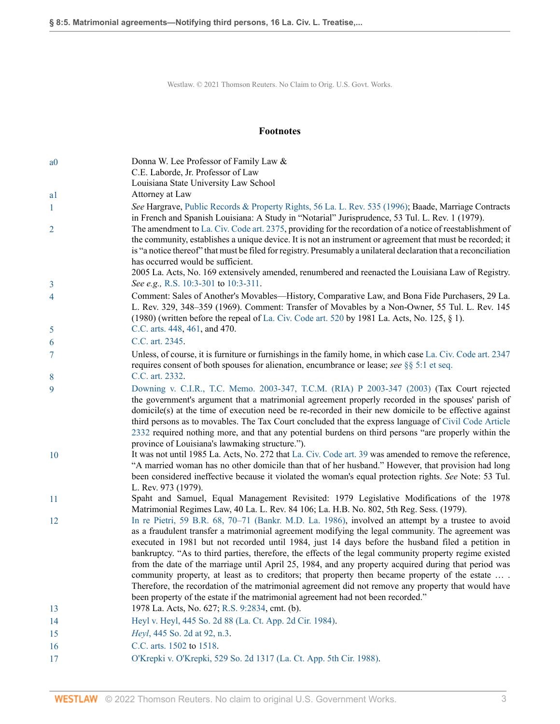Westlaw. © 2021 Thomson Reuters. No Claim to Orig. U.S. Govt. Works.

## **Footnotes**

<span id="page-2-18"></span><span id="page-2-17"></span><span id="page-2-16"></span><span id="page-2-15"></span><span id="page-2-14"></span><span id="page-2-13"></span><span id="page-2-12"></span><span id="page-2-11"></span><span id="page-2-10"></span><span id="page-2-9"></span><span id="page-2-8"></span><span id="page-2-7"></span><span id="page-2-6"></span><span id="page-2-5"></span><span id="page-2-4"></span><span id="page-2-3"></span><span id="page-2-2"></span><span id="page-2-1"></span><span id="page-2-0"></span>

| a <sub>0</sub> | Donna W. Lee Professor of Family Law &                                                                                                                                                                                                                                                                                                                                                                                                                                                                                                                                                                                                                                                                                                                                                                                      |
|----------------|-----------------------------------------------------------------------------------------------------------------------------------------------------------------------------------------------------------------------------------------------------------------------------------------------------------------------------------------------------------------------------------------------------------------------------------------------------------------------------------------------------------------------------------------------------------------------------------------------------------------------------------------------------------------------------------------------------------------------------------------------------------------------------------------------------------------------------|
|                | C.E. Laborde, Jr. Professor of Law<br>Louisiana State University Law School                                                                                                                                                                                                                                                                                                                                                                                                                                                                                                                                                                                                                                                                                                                                                 |
| a1             | Attorney at Law                                                                                                                                                                                                                                                                                                                                                                                                                                                                                                                                                                                                                                                                                                                                                                                                             |
| $\mathbf{1}$   | See Hargrave, Public Records & Property Rights, 56 La. L. Rev. 535 (1996); Baade, Marriage Contracts<br>in French and Spanish Louisiana: A Study in "Notarial" Jurisprudence, 53 Tul. L. Rev. 1 (1979).                                                                                                                                                                                                                                                                                                                                                                                                                                                                                                                                                                                                                     |
| $\overline{2}$ | The amendment to La. Civ. Code art. 2375, providing for the recordation of a notice of reestablishment of<br>the community, establishes a unique device. It is not an instrument or agreement that must be recorded; it<br>is "a notice thereof" that must be filed for registry. Presumably a unilateral declaration that a reconciliation<br>has occurred would be sufficient.                                                                                                                                                                                                                                                                                                                                                                                                                                            |
| 3              | 2005 La. Acts, No. 169 extensively amended, renumbered and reenacted the Louisiana Law of Registry.<br>See e.g., R.S. 10:3-301 to 10:3-311.                                                                                                                                                                                                                                                                                                                                                                                                                                                                                                                                                                                                                                                                                 |
| 4              | Comment: Sales of Another's Movables—History, Comparative Law, and Bona Fide Purchasers, 29 La.<br>L. Rev. 329, 348-359 (1969). Comment: Transfer of Movables by a Non-Owner, 55 Tul. L. Rev. 145<br>(1980) (written before the repeal of La. Civ. Code art. 520 by 1981 La. Acts, No. 125, $\S$ 1).                                                                                                                                                                                                                                                                                                                                                                                                                                                                                                                        |
| 5              | C.C. arts. 448, 461, and 470.                                                                                                                                                                                                                                                                                                                                                                                                                                                                                                                                                                                                                                                                                                                                                                                               |
| 6              | C.C. art. 2345.                                                                                                                                                                                                                                                                                                                                                                                                                                                                                                                                                                                                                                                                                                                                                                                                             |
| 7              | Unless, of course, it is furniture or furnishings in the family home, in which case La. Civ. Code art. 2347<br>requires consent of both spouses for alienation, encumbrance or lease; see $\S$ § 5:1 et seq.                                                                                                                                                                                                                                                                                                                                                                                                                                                                                                                                                                                                                |
| 8              | C.C. art. 2332.                                                                                                                                                                                                                                                                                                                                                                                                                                                                                                                                                                                                                                                                                                                                                                                                             |
| 9              | Downing v. C.I.R., T.C. Memo. 2003-347, T.C.M. (RIA) P 2003-347 (2003) (Tax Court rejected<br>the government's argument that a matrimonial agreement properly recorded in the spouses' parish of<br>domicile(s) at the time of execution need be re-recorded in their new domicile to be effective against<br>third persons as to movables. The Tax Court concluded that the express language of Civil Code Article<br>2332 required nothing more, and that any potential burdens on third persons "are properly within the<br>province of Louisiana's lawmaking structure.").                                                                                                                                                                                                                                              |
| 10             | It was not until 1985 La. Acts, No. 272 that La. Civ. Code art. 39 was amended to remove the reference,<br>"A married woman has no other domicile than that of her husband." However, that provision had long<br>been considered ineffective because it violated the woman's equal protection rights. See Note: 53 Tul.<br>L. Rev. 973 (1979).                                                                                                                                                                                                                                                                                                                                                                                                                                                                              |
| 11             | Spaht and Samuel, Equal Management Revisited: 1979 Legislative Modifications of the 1978<br>Matrimonial Regimes Law, 40 La. L. Rev. 84 106; La. H.B. No. 802, 5th Reg. Sess. (1979).                                                                                                                                                                                                                                                                                                                                                                                                                                                                                                                                                                                                                                        |
| 12             | In re Pietri, 59 B.R. 68, 70–71 (Bankr. M.D. La. 1986), involved an attempt by a trustee to avoid<br>as a fraudulent transfer a matrimonial agreement modifying the legal community. The agreement was<br>executed in 1981 but not recorded until 1984, just 14 days before the husband filed a petition in<br>bankruptcy. "As to third parties, therefore, the effects of the legal community property regime existed<br>from the date of the marriage until April 25, 1984, and any property acquired during that period was<br>community property, at least as to creditors; that property then became property of the estate<br>Therefore, the recordation of the matrimonial agreement did not remove any property that would have<br>been property of the estate if the matrimonial agreement had not been recorded." |
| 13             | 1978 La. Acts, No. 627; R.S. 9:2834, cmt. (b).                                                                                                                                                                                                                                                                                                                                                                                                                                                                                                                                                                                                                                                                                                                                                                              |
| 14             | Heyl v. Heyl, 445 So. 2d 88 (La. Ct. App. 2d Cir. 1984).                                                                                                                                                                                                                                                                                                                                                                                                                                                                                                                                                                                                                                                                                                                                                                    |
| 15             | Heyl, 445 So. 2d at 92, n.3.                                                                                                                                                                                                                                                                                                                                                                                                                                                                                                                                                                                                                                                                                                                                                                                                |
| 16             | C.C. arts. 1502 to 1518.                                                                                                                                                                                                                                                                                                                                                                                                                                                                                                                                                                                                                                                                                                                                                                                                    |
| 17             | O'Krepki v. O'Krepki, 529 So. 2d 1317 (La. Ct. App. 5th Cir. 1988).                                                                                                                                                                                                                                                                                                                                                                                                                                                                                                                                                                                                                                                                                                                                                         |